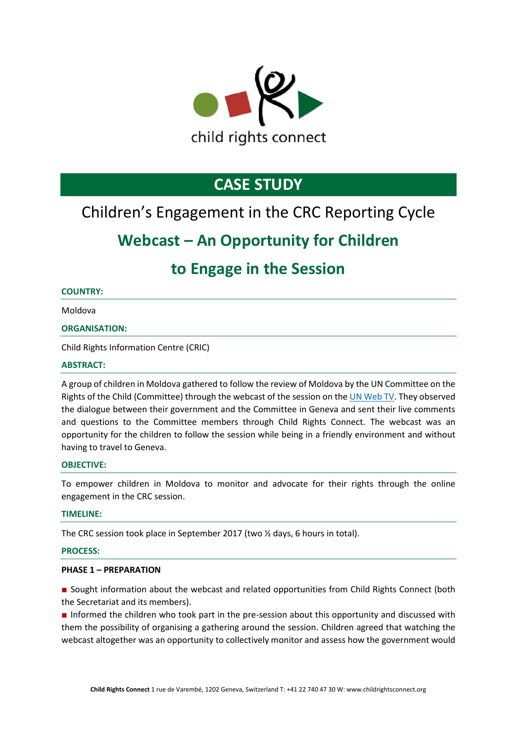

# **CASE STUDY**

## Children's Engagement in the CRC Reporting Cycle

## **Webcast – An Opportunity for Children**

## **to Engage in the Session**

## **COUNTRY:**

Moldova

## **ORGANISATION:**

Child Rights Information Centre (CRIC)

### **ABSTRACT:**

A group of children in Moldova gathered to follow the review of Moldova by the UN Committee on the Rights of the Child (Committee) through the webcast of the session on th[e UN Web TV.](http://webtv.un.org/) They observed the dialogue between their government and the Committee in Geneva and sent their live comments and questions to the Committee members through Child Rights Connect. The webcast was an opportunity for the children to follow the session while being in a friendly environment and without having to travel to Geneva.

#### **OBJECTIVE:**

To empower children in Moldova to monitor and advocate for their rights through the online engagement in the CRC session.

#### **TIMELINE:**

The CRC session took place in September 2017 (two ½ days, 6 hours in total).

#### **PROCESS:**

#### **PHASE 1 – PREPARATION**

■ Sought information about the webcast and related opportunities from Child Rights Connect (both the Secretariat and its members).

■ Informed the children who took part in the pre-session about this opportunity and discussed with them the possibility of organising a gathering around the session. Children agreed that watching the webcast altogether was an opportunity to collectively monitor and assess how the government would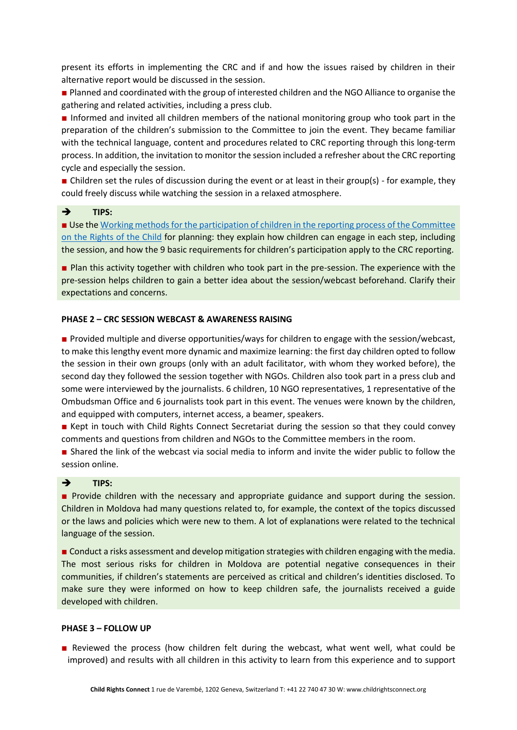present its efforts in implementing the CRC and if and how the issues raised by children in their alternative report would be discussed in the session.

■ Planned and coordinated with the group of interested children and the NGO Alliance to organise the gathering and related activities, including a press club.

■ Informed and invited all children members of the national monitoring group who took part in the preparation of the children's submission to the Committee to join the event. They became familiar with the technical language, content and procedures related to CRC reporting through this long-term process. In addition, the invitation to monitor the session included a refresher about the CRC reporting cycle and especially the session.

■ Children set the rules of discussion during the event or at least in their group(s) - for example, they could freely discuss while watching the session in a relaxed atmosphere.

## ➔ **TIPS:**

■ Use the Working methods for the participation of children in the reporting process of the Committee [on the Rights of the Child](https://tbinternet.ohchr.org/_layouts/treatybodyexternal/Download.aspx?symbolno=CRC/C/66/2&Lang=en) for planning: they explain how children can engage in each step, including the session, and how the 9 basic requirements for children's participation apply to the CRC reporting.

■ Plan this activity together with children who took part in the pre-session. The experience with the pre-session helps children to gain a better idea about the session/webcast beforehand. Clarify their expectations and concerns.

#### **PHASE 2 – CRC SESSION WEBCAST & AWARENESS RAISING**

■ Provided multiple and diverse opportunities/ways for children to engage with the session/webcast, to make this lengthy event more dynamic and maximize learning: the first day children opted to follow the session in their own groups (only with an adult facilitator, with whom they worked before), the second day they followed the session together with NGOs. Children also took part in a press club and some were interviewed by the journalists. 6 children, 10 NGO representatives, 1 representative of the Ombudsman Office and 6 journalists took part in this event. The venues were known by the children, and equipped with computers, internet access, a beamer, speakers.

■ Kept in touch with Child Rights Connect Secretariat during the session so that they could convey comments and questions from children and NGOs to the Committee members in the room.

■ Shared the link of the webcast via social media to inform and invite the wider public to follow the session online.

#### ➔ **TIPS:**

■ Provide children with the necessary and appropriate guidance and support during the session. Children in Moldova had many questions related to, for example, the context of the topics discussed or the laws and policies which were new to them. A lot of explanations were related to the technical language of the session.

■ Conduct a risks assessment and develop mitigation strategies with children engaging with the media. The most serious risks for children in Moldova are potential negative consequences in their communities, if children's statements are perceived as critical and children's identities disclosed. To make sure they were informed on how to keep children safe, the journalists received a guide developed with children.

#### **PHASE 3 – FOLLOW UP**

■ Reviewed the process (how children felt during the webcast, what went well, what could be improved) and results with all children in this activity to learn from this experience and to support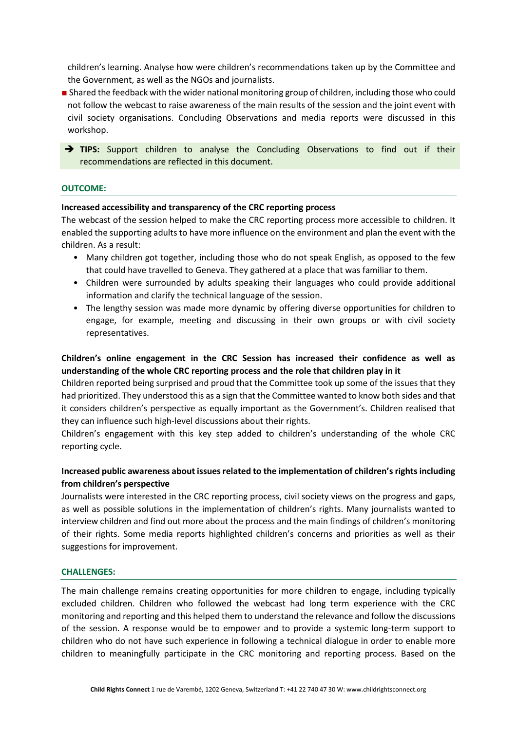children's learning. Analyse how were children's recommendations taken up by the Committee and the Government, as well as the NGOs and journalists.

■ Shared the feedback with the wider national monitoring group of children, including those who could not follow the webcast to raise awareness of the main results of the session and the joint event with civil society organisations. Concluding Observations and media reports were discussed in this workshop.

→ **TIPS:** Support children to analyse the Concluding Observations to find out if their recommendations are reflected in this document.

### **OUTCOME:**

#### **Increased accessibility and transparency of the CRC reporting process**

The webcast of the session helped to make the CRC reporting process more accessible to children. It enabled the supporting adults to have more influence on the environment and plan the event with the children. As a result:

- Many children got together, including those who do not speak English, as opposed to the few that could have travelled to Geneva. They gathered at a place that was familiar to them.
- Children were surrounded by adults speaking their languages who could provide additional information and clarify the technical language of the session.
- The lengthy session was made more dynamic by offering diverse opportunities for children to engage, for example, meeting and discussing in their own groups or with civil society representatives.

## **Children's online engagement in the CRC Session has increased their confidence as well as understanding of the whole CRC reporting process and the role that children play in it**

Children reported being surprised and proud that the Committee took up some of the issues that they had prioritized. They understood this as a sign that the Committee wanted to know both sides and that it considers children's perspective as equally important as the Government's. Children realised that they can influence such high-level discussions about their rights.

Children's engagement with this key step added to children's understanding of the whole CRC reporting cycle.

## **Increased public awareness about issues related to the implementation of children's rights including from children's perspective**

Journalists were interested in the CRC reporting process, civil society views on the progress and gaps, as well as possible solutions in the implementation of children's rights. Many journalists wanted to interview children and find out more about the process and the main findings of children's monitoring of their rights. Some media reports highlighted children's concerns and priorities as well as their suggestions for improvement.

#### **CHALLENGES:**

The main challenge remains creating opportunities for more children to engage, including typically excluded children. Children who followed the webcast had long term experience with the CRC monitoring and reporting and this helped them to understand the relevance and follow the discussions of the session. A response would be to empower and to provide a systemic long-term support to children who do not have such experience in following a technical dialogue in order to enable more children to meaningfully participate in the CRC monitoring and reporting process. Based on the